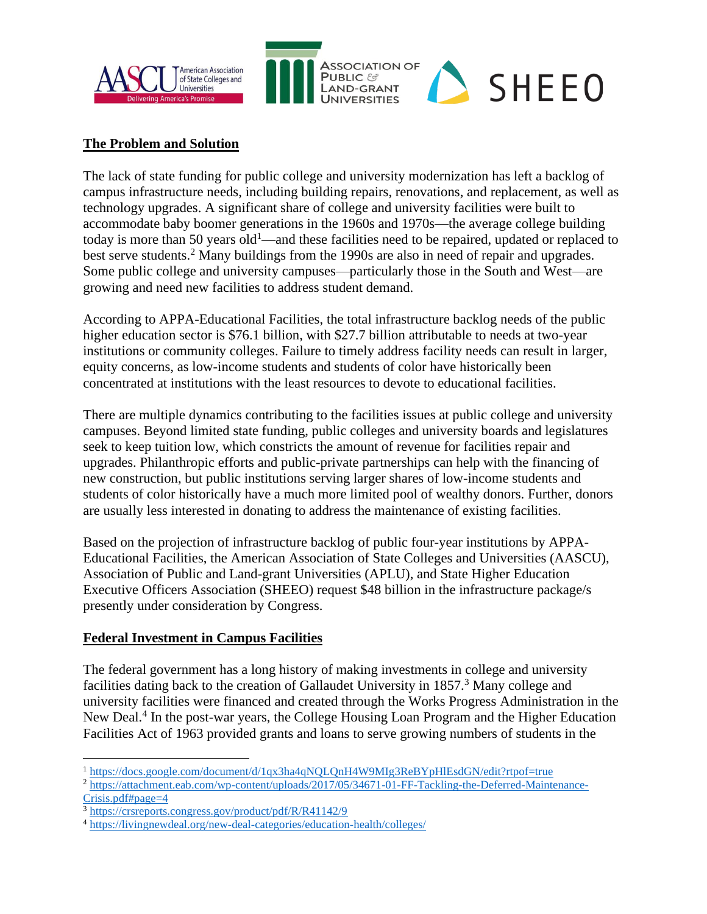

#### **The Problem and Solution**

The lack of state funding for public college and university modernization has left a backlog of campus infrastructure needs, including building repairs, renovations, and replacement, as well as technology upgrades. A significant share of college and university facilities were built to accommodate baby boomer generations in the 1960s and 1970s—the average college building today is more than 50 years  $old<sup>1</sup>$ —and these facilities need to be repaired, updated or replaced to best serve students.<sup>2</sup> Many buildings from the 1990s are also in need of repair and upgrades. Some public college and university campuses—particularly those in the South and West—are growing and need new facilities to address student demand.

According to APPA-Educational Facilities, the total infrastructure backlog needs of the public higher education sector is \$76.1 billion, with \$27.7 billion attributable to needs at two-year institutions or community colleges. Failure to timely address facility needs can result in larger, equity concerns, as low-income students and students of color have historically been concentrated at institutions with the least resources to devote to educational facilities.

There are multiple dynamics contributing to the facilities issues at public college and university campuses. Beyond limited state funding, public colleges and university boards and legislatures seek to keep tuition low, which constricts the amount of revenue for facilities repair and upgrades. Philanthropic efforts and public-private partnerships can help with the financing of new construction, but public institutions serving larger shares of low-income students and students of color historically have a much more limited pool of wealthy donors. Further, donors are usually less interested in donating to address the maintenance of existing facilities.

Based on the projection of infrastructure backlog of public four-year institutions by APPA-Educational Facilities, the American Association of State Colleges and Universities (AASCU), Association of Public and Land-grant Universities (APLU), and State Higher Education Executive Officers Association (SHEEO) request \$48 billion in the infrastructure package/s presently under consideration by Congress.

#### **Federal Investment in Campus Facilities**

The federal government has a long history of making investments in college and university facilities dating back to the creation of Gallaudet University in 1857.<sup>3</sup> Many college and university facilities were financed and created through the Works Progress Administration in the New Deal.<sup>4</sup> In the post-war years, the College Housing Loan Program and the Higher Education Facilities Act of 1963 provided grants and loans to serve growing numbers of students in the

<sup>1</sup> <https://docs.google.com/document/d/1qx3ha4qNQLQnH4W9MIg3ReBYpHlEsdGN/edit?rtpof=true>

<sup>2</sup> [https://attachment.eab.com/wp-content/uploads/2017/05/34671-01-FF-Tackling-the-Deferred-Maintenance-](https://attachment.eab.com/wp-content/uploads/2017/05/34671-01-FF-Tackling-the-Deferred-Maintenance-Crisis.pdf#page=4)[Crisis.pdf#page=4](https://attachment.eab.com/wp-content/uploads/2017/05/34671-01-FF-Tackling-the-Deferred-Maintenance-Crisis.pdf#page=4)

<sup>3</sup> <https://crsreports.congress.gov/product/pdf/R/R41142/9>

<sup>4</sup> <https://livingnewdeal.org/new-deal-categories/education-health/colleges/>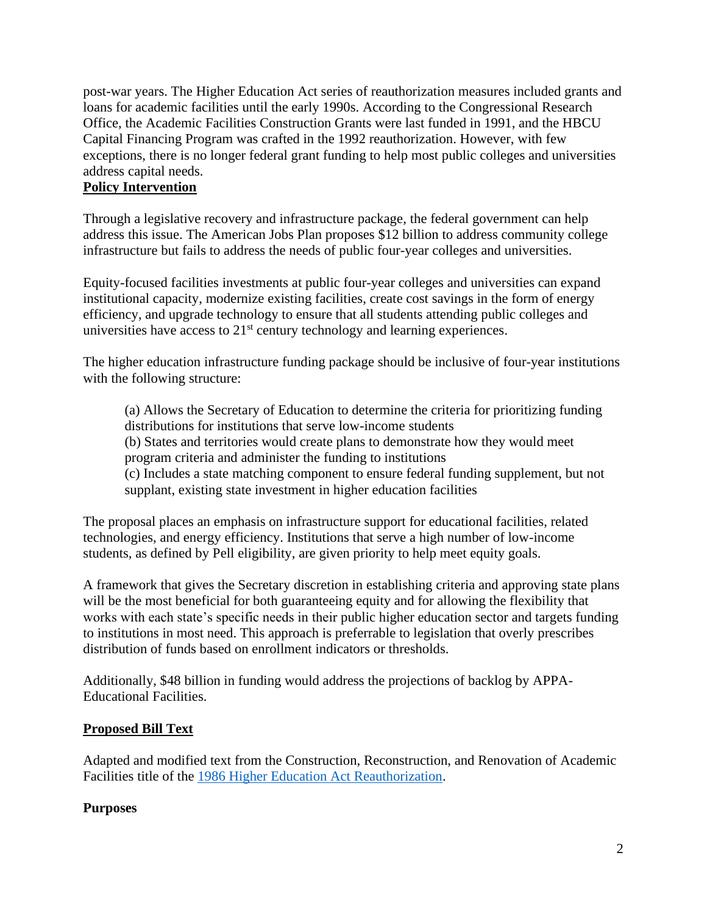post-war years. The Higher Education Act series of reauthorization measures included grants and loans for academic facilities until the early 1990s. According to the Congressional Research Office, the Academic Facilities Construction Grants were last funded in 1991, and the HBCU Capital Financing Program was crafted in the 1992 reauthorization. However, with few exceptions, there is no longer federal grant funding to help most public colleges and universities address capital needs.

### **Policy Intervention**

Through a legislative recovery and infrastructure package, the federal government can help address this issue. The American Jobs Plan proposes \$12 billion to address community college infrastructure but fails to address the needs of public four-year colleges and universities.

Equity-focused facilities investments at public four-year colleges and universities can expand institutional capacity, modernize existing facilities, create cost savings in the form of energy efficiency, and upgrade technology to ensure that all students attending public colleges and universities have access to  $21<sup>st</sup>$  century technology and learning experiences.

The higher education infrastructure funding package should be inclusive of four-year institutions with the following structure:

(a) Allows the Secretary of Education to determine the criteria for prioritizing funding distributions for institutions that serve low-income students (b) States and territories would create plans to demonstrate how they would meet program criteria and administer the funding to institutions (c) Includes a state matching component to ensure federal funding supplement, but not

supplant, existing state investment in higher education facilities

The proposal places an emphasis on infrastructure support for educational facilities, related technologies, and energy efficiency. Institutions that serve a high number of low-income students, as defined by Pell eligibility, are given priority to help meet equity goals.

A framework that gives the Secretary discretion in establishing criteria and approving state plans will be the most beneficial for both guaranteeing equity and for allowing the flexibility that works with each state's specific needs in their public higher education sector and targets funding to institutions in most need. This approach is preferrable to legislation that overly prescribes distribution of funds based on enrollment indicators or thresholds.

Additionally, \$48 billion in funding would address the projections of backlog by APPA-Educational Facilities.

### **Proposed Bill Text**

Adapted and modified text from the Construction, Reconstruction, and Renovation of Academic Facilities title of the [1986 Higher Education Act Reauthorization.](https://www.congress.gov/99/statute/STATUTE-100/STATUTE-100-Pg1268.pdf)

### **Purposes**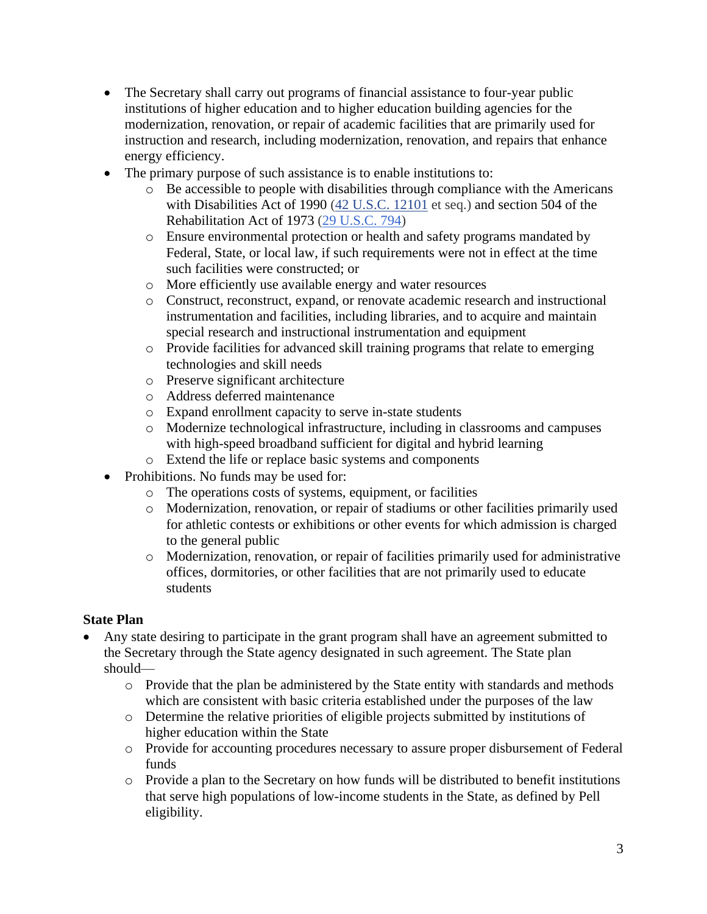- The Secretary shall carry out programs of financial assistance to four-year public institutions of higher education and to higher education building agencies for the modernization, renovation, or repair of academic facilities that are primarily used for instruction and research, including modernization, renovation, and repairs that enhance energy efficiency.
- The primary purpose of such assistance is to enable institutions to:
	- $\circ$  Be accessible to people with disabilities through compliance with the Americans with Disabilities Act of 1990 [\(42 U.S.C. 12101](http://uscode.house.gov/quicksearch/get.plx?title=42§ion=12101) et seq.) and section 504 of the Rehabilitation Act of 1973 [\(29 U.S.C. 794\)](http://uscode.house.gov/quicksearch/get.plx?title=29§ion=794)
	- o Ensure environmental protection or health and safety programs mandated by Federal, State, or local law, if such requirements were not in effect at the time such facilities were constructed; or
	- o More efficiently use available energy and water resources
	- o Construct, reconstruct, expand, or renovate academic research and instructional instrumentation and facilities, including libraries, and to acquire and maintain special research and instructional instrumentation and equipment
	- o Provide facilities for advanced skill training programs that relate to emerging technologies and skill needs
	- o Preserve significant architecture
	- o Address deferred maintenance
	- o Expand enrollment capacity to serve in-state students
	- o Modernize technological infrastructure, including in classrooms and campuses with high-speed broadband sufficient for digital and hybrid learning
	- o Extend the life or replace basic systems and components
- Prohibitions. No funds may be used for:
	- o The operations costs of systems, equipment, or facilities
	- o Modernization, renovation, or repair of stadiums or other facilities primarily used for athletic contests or exhibitions or other events for which admission is charged to the general public
	- o Modernization, renovation, or repair of facilities primarily used for administrative offices, dormitories, or other facilities that are not primarily used to educate students

### **State Plan**

- Any state desiring to participate in the grant program shall have an agreement submitted to the Secretary through the State agency designated in such agreement. The State plan should
	- o Provide that the plan be administered by the State entity with standards and methods which are consistent with basic criteria established under the purposes of the law
	- o Determine the relative priorities of eligible projects submitted by institutions of higher education within the State
	- o Provide for accounting procedures necessary to assure proper disbursement of Federal funds
	- o Provide a plan to the Secretary on how funds will be distributed to benefit institutions that serve high populations of low-income students in the State, as defined by Pell eligibility.